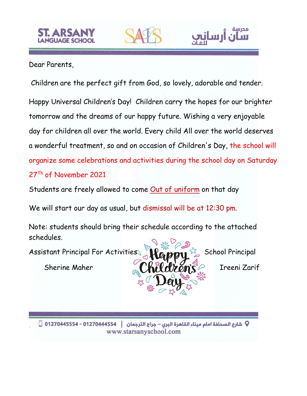### Dear Parents,

Children are the perfect gift from God, so lovely, adorable and tender.

Happy Universal Children's Day! Children carry the hopes for our brighter tomorrow and the dreams of our happy future. Wishing a very enjoyable day for children all over the world. Every child All over the world deserves a wonderful treatment, so and on occasion of Children's Day, the school will organize some celebrations and activities during the school day on Saturday 27<sup>Th</sup> of November 2021

Students are freely allowed to come Out of uniform on that day

We will start our day as usual, but dismissal will be at 12:30 pm.

Note: students should bring their schedule according to the attached schedules.

Assistant Principal For Activities 100.000 School Principal

Sherine Maher **II Kill Mroms** P Ireeni Zarif

مدرسة

<u>Lau i</u>

Q شارع الصحافة امام ميناء القاهرة البرى – جراج الترجمان │ 01270444554 - 01270445554 □ www.starsanyschool.com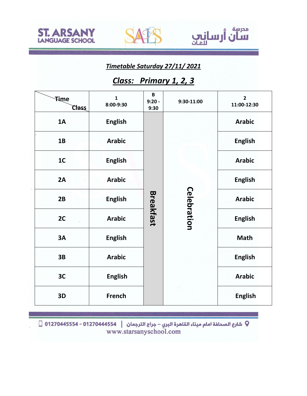





*Timetable Saturday 27/11/ 2021*

# *Class: Primary 1, 2, 3*

| Time<br><b>Class</b> | $\mathbf{1}$<br>8:00-9:30 | B<br>$9:20 -$<br>9:30 | 9:30-11:00         | $\overline{2}$<br>11:00-12:30 |
|----------------------|---------------------------|-----------------------|--------------------|-------------------------------|
| 1A                   | <b>English</b>            | <b>Breakfast</b>      | <b>Celebration</b> | <b>Arabic</b>                 |
| 1B                   | <b>Arabic</b>             |                       |                    | <b>English</b>                |
| 1 <sub>C</sub>       | <b>English</b>            |                       |                    | <b>Arabic</b>                 |
| 2A                   | <b>Arabic</b>             |                       |                    | <b>English</b>                |
| 2B                   | <b>English</b>            |                       |                    | <b>Arabic</b>                 |
| 2C                   | <b>Arabic</b>             |                       |                    | <b>English</b>                |
| 3A                   | <b>English</b>            |                       |                    | <b>Math</b>                   |
| 3B                   | <b>Arabic</b>             |                       |                    | <b>English</b>                |
| 3C                   | <b>English</b>            |                       |                    | <b>Arabic</b>                 |
| 3D                   | <b>French</b>             |                       |                    | <b>English</b>                |

Q شارع الصحافة امام ميناء القاهرة البري – جراج الترجمان | 012704445554 - 01270445554 ∏<br>www.starsanyschool.com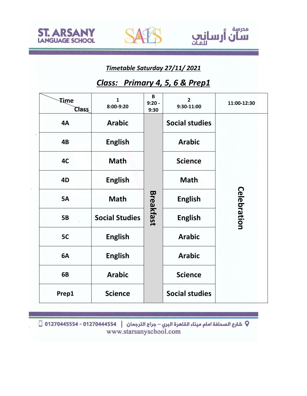



مدرسة

سان أرسانيي

## *Class: Primary 4, 5, 6 & Prep1*

| Time<br><b>Class</b> | $\mathbf{1}$<br>8:00-9:20 | B<br>$9:20 -$<br>9:30 | $\overline{2}$<br>9:30-11:00 | 11:00-12:30        |
|----------------------|---------------------------|-----------------------|------------------------------|--------------------|
| 4A                   | <b>Arabic</b>             |                       | <b>Social studies</b>        |                    |
| 4B                   | <b>English</b>            |                       | <b>Arabic</b>                |                    |
| 4C                   | <b>Math</b>               |                       | <b>Science</b>               | <b>Celebration</b> |
| 4D                   | <b>English</b>            |                       | <b>Math</b>                  |                    |
| <b>5A</b>            | <b>Math</b>               |                       | <b>English</b>               |                    |
| <b>5B</b>            | <b>Social Studies</b>     | <b>Breakfast</b>      | <b>English</b>               |                    |
| 5C                   | <b>English</b>            |                       | <b>Arabic</b>                |                    |
| 6A                   | <b>English</b>            |                       | <b>Arabic</b>                |                    |
| 6B                   | <b>Arabic</b>             |                       | <b>Science</b>               |                    |
| Prep1                | <b>Science</b>            |                       | <b>Social studies</b>        |                    |

 $\Box$  1270445554 - 01270444554 | الترجمان  $\Box$  01270445554 - 01270444554  $\Box$  www.starsanyschool.com